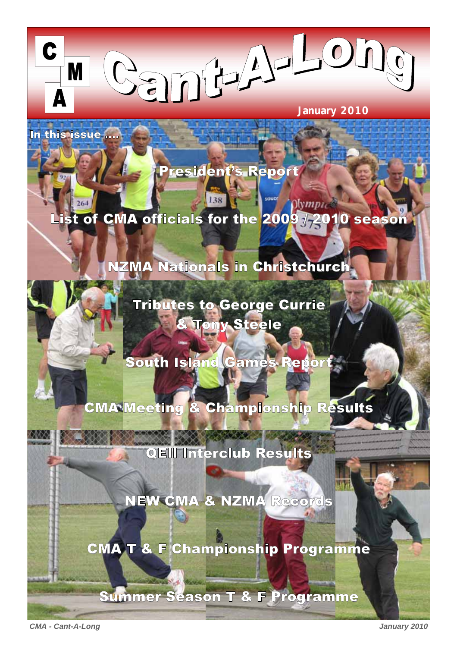**January 2010** 

 $\overline{0}$ 

In this issue ....

M

President's Report

# List of CMA officials for the 2009 / 2010 season

# NZMA Nationals in Christchurch



**Tributes to George Currie** & Tony Steele

South Island Games Report

CMA Meeting & Championship Results

QEII Interclub Results

NEW CMA & NZMA Records

CMA T & F Championship Programme

Summer Season T & F Programme

*CMA - Cant-A-Long January 2010*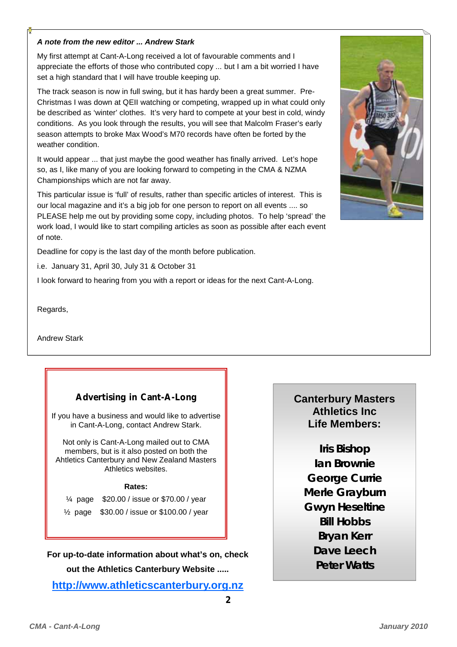#### *A note from the new editor ... Andrew Stark*

My first attempt at Cant-A-Long received a lot of favourable comments and I appreciate the efforts of those who contributed copy ... but I am a bit worried I have set a high standard that I will have trouble keeping up.

The track season is now in full swing, but it has hardy been a great summer. Pre-Christmas I was down at QEII watching or competing, wrapped up in what could only be described as 'winter' clothes. It's very hard to compete at your best in cold, windy conditions. As you look through the results, you will see that Malcolm Fraser's early season attempts to broke Max Wood's M70 records have often be forted by the weather condition.

It would appear ... that just maybe the good weather has finally arrived. Let's hope so, as I, like many of you are looking forward to competing in the CMA & NZMA Championships which are not far away.

This particular issue is 'full' of results, rather than specific articles of interest. This is our local magazine and it's a big job for one person to report on all events .... so PLEASE help me out by providing some copy, including photos. To help 'spread' the work load, I would like to start compiling articles as soon as possible after each event of note.

Deadline for copy is the last day of the month before publication.

i.e. January 31, April 30, July 31 & October 31

I look forward to hearing from you with a report or ideas for the next Cant-A-Long.

Regards,

Andrew Stark

## **Advertising in Cant-A-Long**

If you have a business and would like to advertise in Cant-A-Long, contact Andrew Stark.

Not only is Cant-A-Long mailed out to CMA members, but is it also posted on both the Ahtletics Canterbury and New Zealand Masters Athletics websites.

#### **Rates:**

¼ page \$20.00 / issue or \$70.00 / year

½ page \$30.00 / issue or \$100.00 / year

**For up-to-date information about what's on, check out the Athletics Canterbury Website .....** 

**http://www.athleticscanterbury.org.nz**



# **Canterbury Masters Athletics Inc Life Members:**

**Iris Bishop Ian Brownie George Currie Merle Grayburn Gwyn Heseltine Bill Hobbs Bryan Kerr Dave Leech Peter Watts**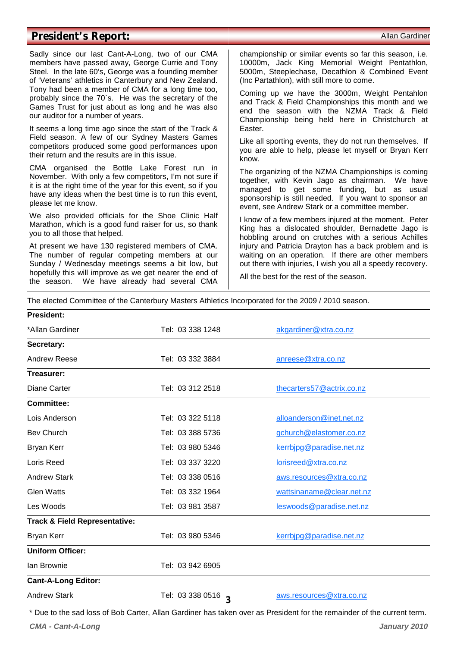### **President's Report:**  $\blacksquare$

Sadly since our last Cant-A-Long, two of our CMA members have passed away, George Currie and Tony Steel. In the late 60's, George was a founding member of 'Veterans' athletics in Canterbury and New Zealand. Tony had been a member of CMA for a long time too, probably since the 70`s. He was the secretary of the Games Trust for just about as long and he was also our auditor for a number of years.

It seems a long time ago since the start of the Track & Field season. A few of our Sydney Masters Games competitors produced some good performances upon their return and the results are in this issue.

CMA organised the Bottle Lake Forest run in November. With only a few competitors, I'm not sure if it is at the right time of the year for this event, so if you have any ideas when the best time is to run this event, please let me know.

We also provided officials for the Shoe Clinic Half Marathon, which is a good fund raiser for us, so thank you to all those that helped.

At present we have 130 registered members of CMA. The number of regular competing members at our Sunday / Wednesday meetings seems a bit low, but hopefully this will improve as we get nearer the end of the season. We have already had several CMA

championship or similar events so far this season, i.e. 10000m, Jack King Memorial Weight Pentathlon, 5000m, Steeplechase, Decathlon & Combined Event (Inc Partathlon), with still more to come.

Coming up we have the 3000m, Weight Pentahlon and Track & Field Championships this month and we end the season with the NZMA Track & Field Championship being held here in Christchurch at Easter.

Like all sporting events, they do not run themselves. If you are able to help, please let myself or Bryan Kerr know.

The organizing of the NZMA Championships is coming together, with Kevin Jago as chairman. We have managed to get some funding, but as usual sponsorship is still needed. If you want to sponsor an event, see Andrew Stark or a committee member.

I know of a few members injured at the moment. Peter King has a dislocated shoulder, Bernadette Jago is hobbling around on crutches with a serious Achilles injury and Patricia Drayton has a back problem and is waiting on an operation. If there are other members out there with injuries, I wish you all a speedy recovery.

All the best for the rest of the season.

The elected Committee of the Canterbury Masters Athletics Incorporated for the 2009 / 2010 season.

| <b>President:</b>                        |                    |                           |
|------------------------------------------|--------------------|---------------------------|
| *Allan Gardiner                          | Tel: 03 338 1248   | akgardiner@xtra.co.nz     |
| Secretary:                               |                    |                           |
| <b>Andrew Reese</b>                      | Tel: 03 332 3884   | anreese@xtra.co.nz        |
| Treasurer:                               |                    |                           |
| Diane Carter                             | Tel: 03 312 2518   | thecarters57@actrix.co.nz |
| <b>Committee:</b>                        |                    |                           |
| Lois Anderson                            | Tel: 03 322 5118   | alloanderson@inet.net.nz  |
| <b>Bev Church</b>                        | Tel: 03 388 5736   | gchurch@elastomer.co.nz   |
| <b>Bryan Kerr</b>                        | Tel: 03 980 5346   | kerrbipg@paradise.net.nz  |
| Loris Reed                               | Tel: 03 337 3220   | lorisreed@xtra.co.nz      |
| <b>Andrew Stark</b>                      | Tel: 03 338 0516   | aws.resources@xtra.co.nz  |
| <b>Glen Watts</b>                        | Tel: 03 332 1964   | wattsinaname@clear.net.nz |
| Les Woods                                | Tel: 03 981 3587   | leswoods@paradise.net.nz  |
| <b>Track &amp; Field Representative:</b> |                    |                           |
| <b>Bryan Kerr</b>                        | Tel: 03 980 5346   | kerrbjpg@paradise.net.nz  |
| <b>Uniform Officer:</b>                  |                    |                           |
| lan Brownie                              | Tel: 03 942 6905   |                           |
| <b>Cant-A-Long Editor:</b>               |                    |                           |
| <b>Andrew Stark</b>                      | Tel: 03 338 0516 3 | aws.resources@xtra.co.nz  |

*CMA - Cant-A-Long January 2010*  \* Due to the sad loss of Bob Carter, Allan Gardiner has taken over as President for the remainder of the current term.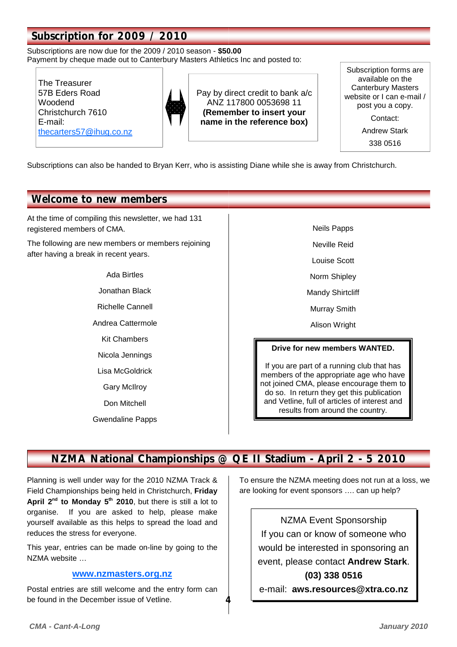# **Subscription for 2009 / 2010**

Subscriptions are now due for the 2009 / 2010 season - **\$50.00** Payment by cheque made out to Canterbury Masters Athletics Inc and posted to:

The Treasurer 57B Eders Road Woodend Christchurch 7610 E-mail: thecarters57@ihug.co.nz



Pay by direct credit to bank a/c ANZ 117800 0053698 11 **(Remember to insert your name in the reference box)**

Subscription forms are available on the Canterbury Masters website or I can e-mail / post you a copy. Contact: Andrew Stark 338 0516

Subscriptions can also be handed to Bryan Kerr, who is assisting Diane while she is away from Christchurch.

## **Welcome to new members**

At the time of compiling this newsletter, we had 131 registered members of CMA.

The following are new members or members rejoining after having a break in recent years.

# Ada Birtles Jonathan Black Richelle Cannell

- Andrea Cattermole
	- Kit Chambers
	- Nicola Jennings
	- Lisa McGoldrick
	- Gary McIlroy
	- Don Mitchell
- Gwendaline Papps

Neils Papps

- Neville Reid
- Louise Scott
- Norm Shipley
- Mandy Shirtcliff
- Murray Smith
- Alison Wright

#### **Drive for new members WANTED.**

If you are part of a running club that has members of the appropriate age who have not joined CMA, please encourage them to do so. In return they get this publication and Vetline, full of articles of interest and results from around the country.

# **NZMA National Championships @ QE II Stadium - April 2 - 5 2010**

**4** 

Planning is well under way for the 2010 NZMA Track & Field Championships being held in Christchurch, **Friday**  April 2<sup>nd</sup> to Monday 5<sup>th</sup> 2010, but there is still a lot to organise. If you are asked to help, please make yourself available as this helps to spread the load and reduces the stress for everyone.

This year, entries can be made on-line by going to the NZMA website …

#### **www.nzmasters.org.nz**

Postal entries are still welcome and the entry form can be found in the December issue of Vetline.

To ensure the NZMA meeting does not run at a loss, we are looking for event sponsors …. can up help?

### NZMA Event Sponsorship

If you can or know of someone who would be interested in sponsoring an event, please contact **Andrew Stark**. **(03) 338 0516** 

e-mail: **aws.resources@xtra.co.nz**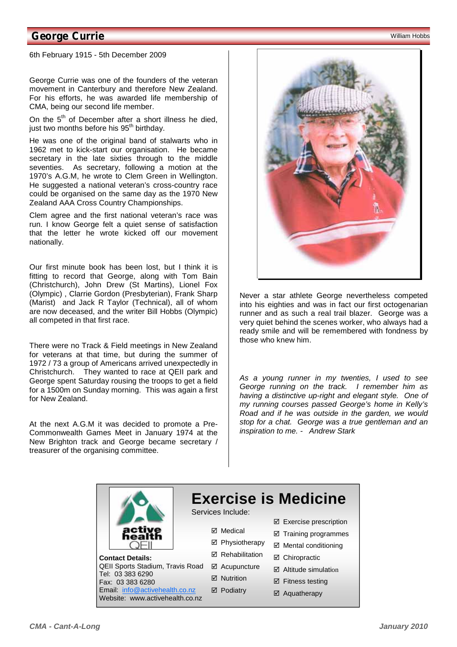## **George Currie** William Hobbs **Carrie Account Control Control Control Control Control Control Control Control Control Control Control Control Control Control Control Control Control Control Control Control Control Control**

6th February 1915 - 5th December 2009

George Currie was one of the founders of the veteran movement in Canterbury and therefore New Zealand. For his efforts, he was awarded life membership of CMA, being our second life member.

On the  $5<sup>th</sup>$  of December after a short illness he died, just two months before his 95<sup>th</sup> birthday.

He was one of the original band of stalwarts who in 1962 met to kick-start our organisation. He became secretary in the late sixties through to the middle seventies. As secretary, following a motion at the 1970's A.G.M, he wrote to Clem Green in Wellington. He suggested a national veteran's cross-country race could be organised on the same day as the 1970 New Zealand AAA Cross Country Championships.

Clem agree and the first national veteran's race was run. I know George felt a quiet sense of satisfaction that the letter he wrote kicked off our movement nationally.

Our first minute book has been lost, but I think it is fitting to record that George, along with Tom Bain (Christchurch), John Drew (St Martins), Lionel Fox (Olympic) , Clarrie Gordon (Presbyterian), Frank Sharp (Marist) and Jack R Taylor (Technical), all of whom are now deceased, and the writer Bill Hobbs (Olympic) all competed in that first race.

There were no Track & Field meetings in New Zealand for veterans at that time, but during the summer of 1972 / 73 a group of Americans arrived unexpectedly in Christchurch. They wanted to race at QEII park and George spent Saturday rousing the troops to get a field for a 1500m on Sunday morning. This was again a first for New Zealand.

At the next A.G.M it was decided to promote a Pre-Commonwealth Games Meet in January 1974 at the New Brighton track and George became secretary / treasurer of the organising committee.



Never a star athlete George nevertheless competed into his eighties and was in fact our first octogenarian runner and as such a real trail blazer. George was a very quiet behind the scenes worker, who always had a ready smile and will be remembered with fondness by those who knew him.

*As a young runner in my twenties, I used to see George running on the track. I remember him as having a distinctive up-right and elegant style. One of my running courses passed George's home in Kelly's Road and if he was outside in the garden, we would stop for a chat. George was a true gentleman and an inspiration to me. - Andrew Stark* 



**Contact Details:**  QEII Sports Stadium, Travis Road Tel: 03 383 6290 Fax: 03 383 6280 Email: info@activehealth.co.nz Website: www.activehealth.co.nz

# **Exercise is Medicine**

Services Include:

**Ø** Medical

⊠ Acupuncture **⊠** Nutrition **Ø** Podiatry

- $\boxtimes$  Exercise prescription
- $\boxtimes$  Training programmes **Ø** Physiotherapy
- $\boxtimes$  Mental conditioning **Ø** Rehabilitation
	- **Ø** Chiropractic
	- $\boxtimes$  Altitude simulation
	- $\boxtimes$  Fitness testing
	- $\boxtimes$  Aquatherapy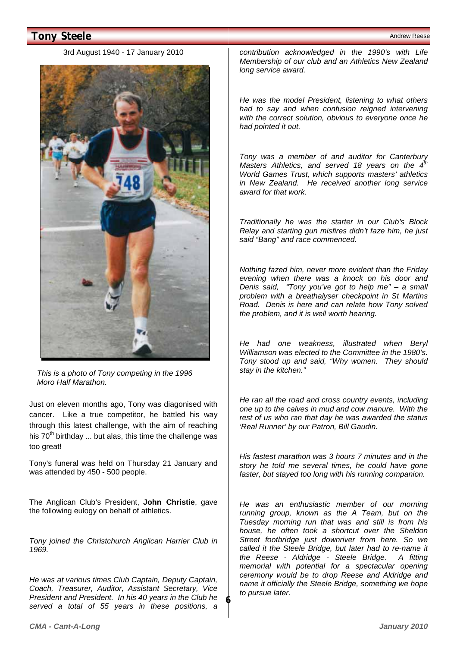# **Tony Steele** Andrew Reese and the Contract of the Contract of the Contract of the Contract of the Contract of the Contract of the Contract of the Contract of the Contract of the Contract of the Contract of the Contract of

#### 3rd August 1940 - 17 January 2010



*This is a photo of Tony competing in the 1996 Moro Half Marathon.* 

Just on eleven months ago, Tony was diagonised with cancer. Like a true competitor, he battled his way through this latest challenge, with the aim of reaching his  $70<sup>th</sup>$  birthday ... but alas, this time the challenge was too great!

Tony's funeral was held on Thursday 21 January and was attended by 450 - 500 people.

The Anglican Club's President, **John Christie**, gave the following eulogy on behalf of athletics.

*Tony joined the Christchurch Anglican Harrier Club in 1969.* 

*He was at various times Club Captain, Deputy Captain, Coach, Treasurer, Auditor, Assistant Secretary, Vice President and President. In his 40 years in the Club he served a total of 55 years in these positions, a* 

**6** 

*contribution acknowledged in the 1990's with Life Membership of our club and an Athletics New Zealand long service award.* 

*He was the model President, listening to what others had to say and when confusion reigned intervening with the correct solution, obvious to everyone once he had pointed it out.* 

*Tony was a member of and auditor for Canterbury Masters Athletics, and served 18 years on the 4<sup>th</sup> World Games Trust, which supports masters' athletics in New Zealand. He received another long service award for that work.* 

*Traditionally he was the starter in our Club's Block Relay and starting gun misfires didn't faze him, he just said "Bang" and race commenced.* 

*Nothing fazed him, never more evident than the Friday evening when there was a knock on his door and Denis said, "Tony you've got to help me" – a small problem with a breathalyser checkpoint in St Martins Road. Denis is here and can relate how Tony solved the problem, and it is well worth hearing.* 

*He had one weakness, illustrated when Beryl Williamson was elected to the Committee in the 1980's. Tony stood up and said, "Why women. They should stay in the kitchen."* 

*He ran all the road and cross country events, including one up to the calves in mud and cow manure. With the rest of us who ran that day he was awarded the status 'Real Runner' by our Patron, Bill Gaudin.* 

*His fastest marathon was 3 hours 7 minutes and in the story he told me several times, he could have gone faster, but stayed too long with his running companion.* 

*He was an enthusiastic member of our morning running group, known as the A Team, but on the Tuesday morning run that was and still is from his house, he often took a shortcut over the Sheldon Street footbridge just downriver from here. So we called it the Steele Bridge, but later had to re-name it the Reese - Aldridge - Steele Bridge. A fitting memorial with potential for a spectacular opening ceremony would be to drop Reese and Aldridge and name it officially the Steele Bridge, something we hope to pursue later.*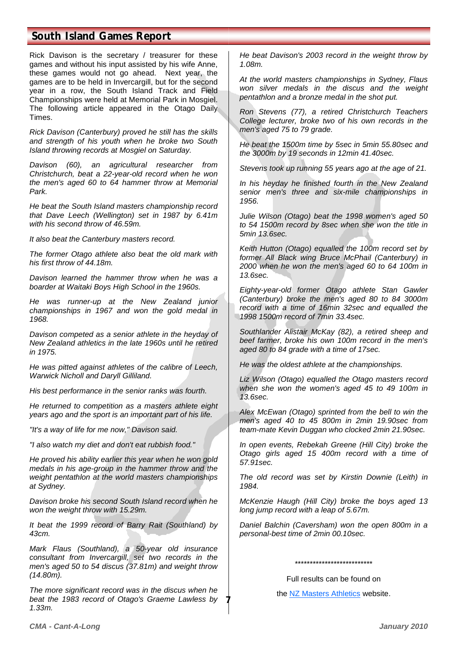# **South Island Games Report**

Rick Davison is the secretary / treasurer for these games and without his input assisted by his wife Anne, these games would not go ahead. Next year, the games are to be held in Invercargill, but for the second year in a row, the South Island Track and Field Championships were held at Memorial Park in Mosgiel. The following article appeared in the Otago Daily Times.

*Rick Davison (Canterbury) proved he still has the skills and strength of his youth when he broke two South Island throwing records at Mosgiel on Saturday.* 

*Davison (60), an agricultural researcher from Christchurch, beat a 22-year-old record when he won the men's aged 60 to 64 hammer throw at Memorial Park.* 

*He beat the South Island masters championship record that Dave Leech (Wellington) set in 1987 by 6.41m with his second throw of 46.59m.* 

*It also beat the Canterbury masters record.* 

*The former Otago athlete also beat the old mark with his first throw of 44.18m.* 

*Davison learned the hammer throw when he was a boarder at Waitaki Boys High School in the 1960s.* 

*He was runner-up at the New Zealand junior championships in 1967 and won the gold medal in 1968.* 

*Davison competed as a senior athlete in the heyday of New Zealand athletics in the late 1960s until he retired in 1975.* 

*He was pitted against athletes of the calibre of Leech, Warwick Nicholl and Daryll Gilliland.* 

*His best performance in the senior ranks was fourth.* 

*He returned to competition as a masters athlete eight years ago and the sport is an important part of his life.* 

*"It's a way of life for me now," Davison said.* 

*"I also watch my diet and don't eat rubbish food."* 

*He proved his ability earlier this year when he won gold medals in his age-group in the hammer throw and the weight pentathlon at the world masters championships at Sydney.* 

*Davison broke his second South Island record when he won the weight throw with 15.29m.* 

*It beat the 1999 record of Barry Rait (Southland) by 43cm.* 

*Mark Flaus (Southland), a 50-year old insurance consultant from Invercargill, set two records in the men's aged 50 to 54 discus (37.81m) and weight throw (14.80m).* 

*The more significant record was in the discus when he beat the 1983 record of Otago's Graeme Lawless by 1.33m.* 

*He beat Davison's 2003 record in the weight throw by 1.08m.* 

*At the world masters championships in Sydney, Flaus won silver medals in the discus and the weight pentathlon and a bronze medal in the shot put.* 

*Ron Stevens (77), a retired Christchurch Teachers College lecturer, broke two of his own records in the men's aged 75 to 79 grade.* 

*He beat the 1500m time by 5sec in 5min 55.80sec and the 3000m by 19 seconds in 12min 41.40sec.* 

*Stevens took up running 55 years ago at the age of 21.* 

*In his heyday he finished fourth in the New Zealand senior men's three and six-mile championships in 1956.* 

*Julie Wilson (Otago) beat the 1998 women's aged 50 to 54 1500m record by 8sec when she won the title in 5min 13.6sec.* 

*Keith Hutton (Otago) equalled the 100m record set by former All Black wing Bruce McPhail (Canterbury) in 2000 when he won the men's aged 60 to 64 100m in 13.6sec.* 

*Eighty-year-old former Otago athlete Stan Gawler (Canterbury) broke the men's aged 80 to 84 3000m record with a time of 16min 32sec and equalled the 1998 1500m record of 7min 33.4sec.* 

*Southlander Alistair McKay (82), a retired sheep and beef farmer, broke his own 100m record in the men's aged 80 to 84 grade with a time of 17sec.* 

*He was the oldest athlete at the championships.* 

*Liz Wilson (Otago) equalled the Otago masters record when she won the women's aged 45 to 49 100m in 13.6sec.* 

*Alex McEwan (Otago) sprinted from the bell to win the men's aged 40 to 45 800m in 2min 19.90sec from team-mate Kevin Duggan who clocked 2min 21.90sec.* 

*In open events, Rebekah Greene (Hill City) broke the Otago girls aged 15 400m record with a time of 57.91sec.* 

*The old record was set by Kirstin Downie (Leith) in 1984.* 

*McKenzie Haugh (Hill City) broke the boys aged 13 long jump record with a leap of 5.67m.* 

*Daniel Balchin (Caversham) won the open 800m in a personal-best time of 2min 00.10sec.* 

\*\*\*\*\*\*\*\*\*\*\*\*\*\*\*\*\*\*\*\*\*\*\*\*\*\*

Full results can be found on

the NZ Masters Athletics website.

**7**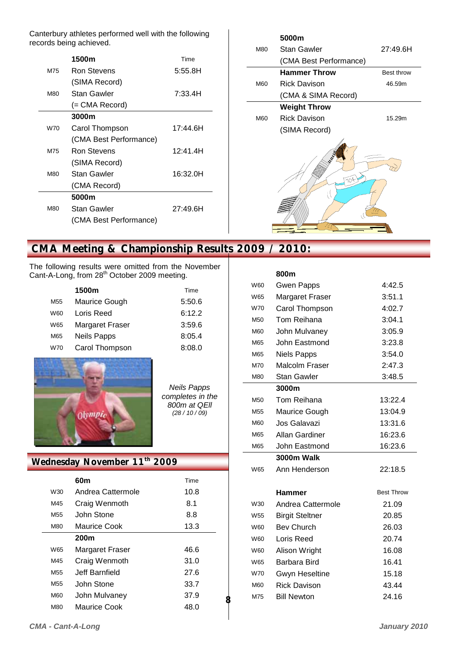Canterbury athletes performed well with the following records being achieved.

|     | 1500m                  | Time     |
|-----|------------------------|----------|
| M75 | Ron Stevens            | 5:55.8H  |
|     | (SIMA Record)          |          |
| M80 | Stan Gawler            | 7:33.4H  |
|     | (= CMA Record)         |          |
|     | 3000m                  |          |
| W70 | Carol Thompson         | 17:44.6H |
|     | (CMA Best Performance) |          |
| M75 | Ron Stevens            | 12:41.4H |
|     | (SIMA Record)          |          |
| M80 | Stan Gawler            | 16:32.0H |
|     | (CMA Record)           |          |
|     | 5000m                  |          |
| M80 | Stan Gawler            | 27:49.6H |
|     | (CMA Best Performance) |          |
|     |                        |          |



# **CMA Meeting & Championship Results 2009 / 2010:**

The following results were omitted from the November Cant-A-Long, from 28<sup>th</sup> October 2009 meeting.

|                 | 1500m                  | Time   |
|-----------------|------------------------|--------|
| M <sub>55</sub> | Maurice Gough          | 5:50.6 |
| <b>W60</b>      | Loris Reed             | 6:12.2 |
| W65             | <b>Margaret Fraser</b> | 3:59.6 |
| M65             | <b>Neils Papps</b>     | 8:05.4 |
| W70             | Carol Thompson         | 8:08.0 |



*Neils Papps completes in the 800m at QEll (28 / 10 / 09)* 

**8** 

### **Wednesday November 11th 2009**

|                 | 60m               | Time |
|-----------------|-------------------|------|
| W30             | Andrea Cattermole | 10.8 |
| M45             | Craig Wenmoth     | 8.1  |
| M <sub>55</sub> | John Stone        | 8.8  |
| M80             | Maurice Cook      | 13.3 |
|                 | 200 <sub>m</sub>  |      |
| W65             | Margaret Fraser   | 46.6 |
| M45             | Craig Wenmoth     | 31.0 |
| M <sub>55</sub> | Jeff Barnfield    | 27.6 |
| M <sub>55</sub> | John Stone        | 33.7 |
| M60             | John Mulvaney     | 37.9 |
| M80             | Maurice Cook      | 48.0 |

|     | 800m                   |                   |
|-----|------------------------|-------------------|
| W60 | <b>Gwen Papps</b>      | 4:42.5            |
| W65 | <b>Margaret Fraser</b> | 3:51.1            |
| W70 | Carol Thompson         | 4:02.7            |
| M50 | Tom Reihana            | 3:04.1            |
| M60 | John Mulvaney          | 3:05.9            |
| M65 | John Eastmond          | 3:23.8            |
| M65 | <b>Niels Papps</b>     | 3:54.0            |
| M70 | Malcolm Fraser         | 2:47.3            |
| M80 | <b>Stan Gawler</b>     | 3:48.5            |
|     | 3000m                  |                   |
| M50 | Tom Reihana            | 13:22.4           |
| M55 | Maurice Gough          | 13:04.9           |
| M60 | Jos Galavazi           | 13:31.6           |
| M65 | Allan Gardiner         | 16:23.6           |
| M65 | John Eastmond          | 16:23.6           |
|     | <b>3000m Walk</b>      |                   |
| W65 | Ann Henderson          | 22:18.5           |
|     |                        |                   |
|     | Hammer                 | <b>Best Throw</b> |
| W30 | Andrea Cattermole      | 21.09             |
| W55 | <b>Birgit Steltner</b> | 20.85             |
| W60 | <b>Bev Church</b>      | 26.03             |
| W60 | Loris Reed             | 20.74             |
| W60 | Alison Wright          | 16.08             |
| W65 | Barbara Bird           | 16.41             |
| W70 | <b>Gwyn Heseltine</b>  | 15.18             |
| M60 | <b>Rick Davison</b>    | 43.44             |
| M75 | <b>Bill Newton</b>     | 24.16             |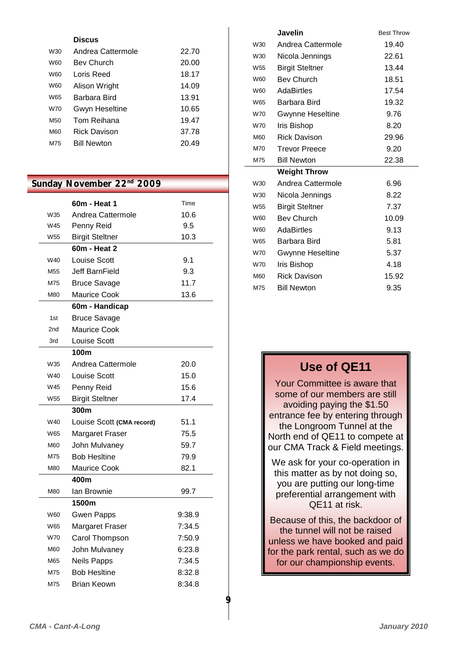|                 | <b>Discus</b>         |       |
|-----------------|-----------------------|-------|
| W30             | Andrea Cattermole     | 22.70 |
| W60             | <b>Bev Church</b>     | 20.00 |
| <b>W60</b>      | Loris Reed            | 18.17 |
| <b>W60</b>      | Alison Wright         | 14.09 |
| W <sub>65</sub> | Barbara Bird          | 13.91 |
| W70             | <b>Gwyn Heseltine</b> | 10.65 |
| M <sub>50</sub> | Tom Reihana           | 19.47 |
| <b>M60</b>      | <b>Rick Davison</b>   | 37.78 |
| M75             | <b>Rill Newton</b>    | 20.49 |
|                 |                       |       |

# Sunday November 22<sup>nd</sup> 2009

|                 | 60m - Heat 1              | Time   |
|-----------------|---------------------------|--------|
| W35             | Andrea Cattermole         | 10.6   |
| W45             | Penny Reid                | 9.5    |
| W <sub>55</sub> | <b>Birgit Steltner</b>    | 10.3   |
|                 | 60m - Heat 2              |        |
| W40             | <b>Louise Scott</b>       | 9.1    |
| M55             | Jeff BarnField            | 9.3    |
| M75             | <b>Bruce Savage</b>       | 11.7   |
| M80             | <b>Maurice Cook</b>       | 13.6   |
|                 | 60m - Handicap            |        |
| 1st             | <b>Bruce Savage</b>       |        |
| 2nd             | <b>Maurice Cook</b>       |        |
| 3rd             | <b>Louise Scott</b>       |        |
|                 | 100m                      |        |
| W35             | Andrea Cattermole         | 20.0   |
| W40             | Louise Scott              | 15.0   |
| W45             | Penny Reid                | 15.6   |
| W <sub>55</sub> | <b>Birgit Steltner</b>    | 17.4   |
|                 | 300m                      |        |
| W40             | Louise Scott (CMA record) | 51.1   |
| W65             | <b>Margaret Fraser</b>    | 75.5   |
| M60             | John Mulvaney             | 59.7   |
| M75             | <b>Bob Hesitine</b>       | 79.9   |
| M80             | <b>Maurice Cook</b>       | 82.1   |
|                 |                           |        |
|                 | 400m                      |        |
| M80             | Ian Brownie               | 99.7   |
|                 | 1500m                     |        |
| W60             | <b>Gwen Papps</b>         | 9:38.9 |
| W65             | Margaret Fraser           | 7:34.5 |
| <b>W70</b>      | Carol Thompson            | 7:50.9 |
| M60             | John Mulvaney             | 6:23.8 |
| M65             | <b>Neils Papps</b>        | 7:34.5 |
| M75             | <b>Bob Hesitine</b>       | 8:32.8 |

|                 | Javelin                 | <b>Best Throw</b> |
|-----------------|-------------------------|-------------------|
| W30             | Andrea Cattermole       | 19.40             |
| W30             | Nicola Jennings         | 22.61             |
| W <sub>55</sub> | <b>Birgit Steltner</b>  | 13.44             |
| W60             | <b>Bev Church</b>       | 18.51             |
| W60             | <b>AdaBirtles</b>       | 17.54             |
| W65             | Barbara Bird            | 19.32             |
| W70             | <b>Gwynne Heseltine</b> | 9.76              |
| W70             | Iris Bishop             | 8.20              |
| M60             | <b>Rick Davison</b>     | 29.96             |
| M70             | <b>Trevor Preece</b>    | 9.20              |
| M75             | <b>Bill Newton</b>      | 22.38             |
|                 | <b>Weight Throw</b>     |                   |
| W30             | Andrea Cattermole       | 6.96              |
| W30             | Nicola Jennings         | 8.22              |
| W <sub>55</sub> | <b>Birgit Steltner</b>  | 7.37              |
| W60             | <b>Bev Church</b>       | 10.09             |
| W60             | AdaBirtles              | 9.13              |
| W65             | Barbara Bird            | 5.81              |
| W70             | <b>Gwynne Heseltine</b> | 5.37              |
| W70             | Iris Bishop             | 4.18              |
| M60             | <b>Rick Davison</b>     | 15.92             |
| M75             | <b>Bill Newton</b>      | 9.35              |
|                 |                         |                   |

# **Use of QE11**

Your Committee is aware that some of our members are still avoiding paying the \$1.50 entrance fee by entering through the Longroom Tunnel at the North end of QE11 to compete at our CMA Track & Field meetings.

We ask for your co-operation in this matter as by not doing so, you are putting our long-time preferential arrangement with QE11 at risk.

Because of this, the backdoor of the tunnel will not be raised unless we have booked and paid for the park rental, such as we do for our championship events.

**9**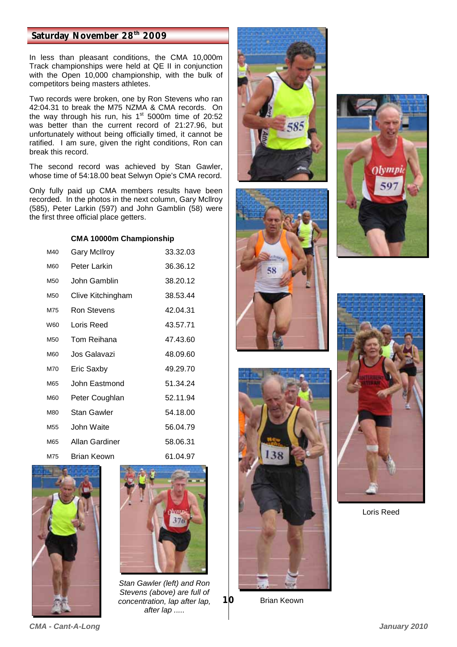### **Saturday November 28th 2009**

In less than pleasant conditions, the CMA 10,000m Track championships were held at QE II in conjunction with the Open 10,000 championship, with the bulk of competitors being masters athletes.

Two records were broken, one by Ron Stevens who ran 42:04.31 to break the M75 NZMA & CMA records. On the way through his run, his  $1<sup>st</sup>$  5000m time of 20:52 was better than the current record of 21:27.96, but unfortunately without being officially timed, it cannot be ratified. I am sure, given the right conditions, Ron can break this record.

The second record was achieved by Stan Gawler, whose time of 54:18.00 beat Selwyn Opie's CMA record.

Only fully paid up CMA members results have been recorded. In the photos in the next column, Gary Mcllroy (585), Peter Larkin (597) and John Gamblin (58) were the first three official place getters.

#### **CMA 10000m Championship**

| <b>Gary McIlroy</b> | 33.32.03 |
|---------------------|----------|
| Peter Larkin        | 36.36.12 |
| John Gamblin        | 38.20.12 |
| Clive Kitchingham   | 38.53.44 |
| Ron Stevens         | 42.04.31 |
| Loris Reed          | 43.57.71 |
| Tom Reihana         | 47.43.60 |
| Jos Galavazi        | 48.09.60 |
| Eric Saxby          | 49.29.70 |
| John Eastmond       | 51.34.24 |
| Peter Coughlan      | 52.11.94 |
| Stan Gawler         | 54.18.00 |
| John Waite          | 56.04.79 |
| Allan Gardiner      | 58.06.31 |
| Brian Keown         | 61.04.97 |
|                     |          |





*Stan Gawler (left) and Ron Stevens (above) are full of concentration, lap after lap, after lap .....* 







Brian Keown

**10** 





Loris Reed

*CMA - Cant-A-Long January 2010*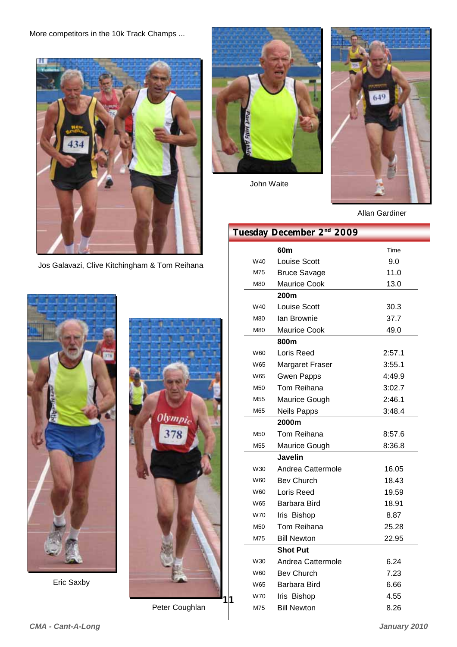More competitors in the 10k Track Champs ...



Jos Galavazi, Clive Kitchingham & Tom Reihana



Eric Saxby



Peter Coughlan

**11** 



John Waite



Allan Gardiner

# **Tuesday December 2nd 2009**

|                 | 60m                    | Time   |
|-----------------|------------------------|--------|
| W40             | Louise Scott<br>9.0    |        |
| M75             | <b>Bruce Savage</b>    | 11.0   |
| M80             | Maurice Cook           | 13.0   |
|                 | 200 <sub>m</sub>       |        |
| W40             | Louise Scott           | 30.3   |
| M80             | lan Brownie            | 37.7   |
| M80             | Maurice Cook           | 49.0   |
|                 | 800m                   |        |
| W60             | Loris Reed             | 2:57.1 |
| W65             | <b>Margaret Fraser</b> | 3:55.1 |
| W65             | <b>Gwen Papps</b>      | 4:49.9 |
| M <sub>50</sub> | Tom Reihana            | 3:02.7 |
| M <sub>55</sub> | Maurice Gough          | 2:46.1 |
| M65             | <b>Neils Papps</b>     | 3:48.4 |
|                 | 2000m                  |        |
| M <sub>50</sub> | Tom Reihana            | 8:57.6 |
| M <sub>55</sub> | <b>Maurice Gough</b>   | 8:36.8 |
|                 | Javelin                |        |
| W30             | Andrea Cattermole      | 16.05  |
| W60             | <b>Bev Church</b>      | 18.43  |
| W60             | Loris Reed             | 19.59  |
| W65             | Barbara Bird           | 18.91  |
| W70             | Iris Bishop            | 8.87   |
| M50             | Tom Reihana            | 25.28  |
| M75             | <b>Bill Newton</b>     | 22.95  |
|                 | <b>Shot Put</b>        |        |
| W30             | Andrea Cattermole      | 6.24   |
| W60             | <b>Bev Church</b>      | 7.23   |
| W65             | Barbara Bird           | 6.66   |
| W70             | Iris Bishop            | 4.55   |
| M75             | <b>Bill Newton</b>     | 8.26   |
|                 |                        |        |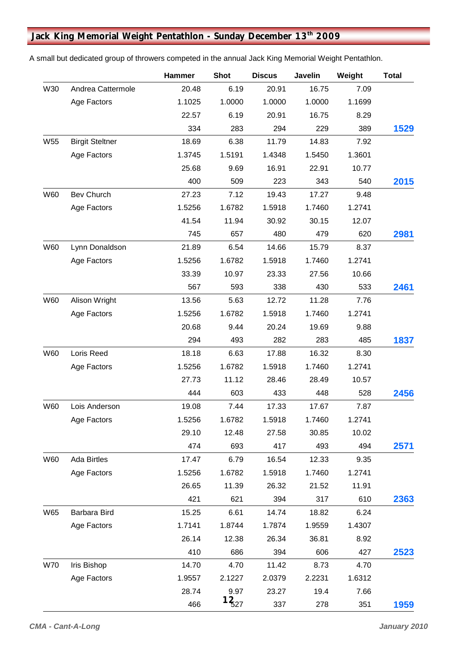# **Jack King Memorial Weight Pentathlon - Sunday December 13th 2009**

|            |                        | Hammer | <b>Shot</b> | <b>Discus</b> | <b>Javelin</b> | Weight | <b>Total</b> |
|------------|------------------------|--------|-------------|---------------|----------------|--------|--------------|
| W30        | Andrea Cattermole      | 20.48  | 6.19        | 20.91         | 16.75          | 7.09   |              |
|            | Age Factors            | 1.1025 | 1.0000      | 1.0000        | 1.0000         | 1.1699 |              |
|            |                        | 22.57  | 6.19        | 20.91         | 16.75          | 8.29   |              |
|            |                        | 334    | 283         | 294           | 229            | 389    | 1529         |
| W55        | <b>Birgit Steltner</b> | 18.69  | 6.38        | 11.79         | 14.83          | 7.92   |              |
|            | Age Factors            | 1.3745 | 1.5191      | 1.4348        | 1.5450         | 1.3601 |              |
|            |                        | 25.68  | 9.69        | 16.91         | 22.91          | 10.77  |              |
|            |                        | 400    | 509         | 223           | 343            | 540    | 2015         |
| W60        | <b>Bev Church</b>      | 27.23  | 7.12        | 19.43         | 17.27          | 9.48   |              |
|            | Age Factors            | 1.5256 | 1.6782      | 1.5918        | 1.7460         | 1.2741 |              |
|            |                        | 41.54  | 11.94       | 30.92         | 30.15          | 12.07  |              |
|            |                        | 745    | 657         | 480           | 479            | 620    | 2981         |
| W60        | Lynn Donaldson         | 21.89  | 6.54        | 14.66         | 15.79          | 8.37   |              |
|            | Age Factors            | 1.5256 | 1.6782      | 1.5918        | 1.7460         | 1.2741 |              |
|            |                        | 33.39  | 10.97       | 23.33         | 27.56          | 10.66  |              |
|            |                        | 567    | 593         | 338           | 430            | 533    | 2461         |
| W60        | Alison Wright          | 13.56  | 5.63        | 12.72         | 11.28          | 7.76   |              |
|            | Age Factors            | 1.5256 | 1.6782      | 1.5918        | 1.7460         | 1.2741 |              |
|            |                        | 20.68  | 9.44        | 20.24         | 19.69          | 9.88   |              |
|            |                        | 294    | 493         | 282           | 283            | 485    | 1837         |
| W60        | Loris Reed             | 18.18  | 6.63        | 17.88         | 16.32          | 8.30   |              |
|            | Age Factors            | 1.5256 | 1.6782      | 1.5918        | 1.7460         | 1.2741 |              |
|            |                        | 27.73  | 11.12       | 28.46         | 28.49          | 10.57  |              |
|            |                        | 444    | 603         | 433           | 448            | 528    | 2456         |
| W60        | Lois Anderson          | 19.08  | 7.44        | 17.33         | 17.67          | 7.87   |              |
|            | Age Factors            | 1.5256 | 1.6782      | 1.5918        | 1.7460         | 1.2741 |              |
|            |                        | 29.10  | 12.48       | 27.58         | 30.85          | 10.02  |              |
|            |                        | 474    | 693         | 417           | 493            | 494    | 2571         |
| W60        | <b>Ada Birtles</b>     | 17.47  | 6.79        | 16.54         | 12.33          | 9.35   |              |
|            | Age Factors            | 1.5256 | 1.6782      | 1.5918        | 1.7460         | 1.2741 |              |
|            |                        | 26.65  | 11.39       | 26.32         | 21.52          | 11.91  |              |
|            |                        | 421    | 621         | 394           | 317            | 610    | 2363         |
| W65        | Barbara Bird           | 15.25  | 6.61        | 14.74         | 18.82          | 6.24   |              |
|            | Age Factors            | 1.7141 | 1.8744      | 1.7874        | 1.9559         | 1.4307 |              |
|            |                        | 26.14  | 12.38       | 26.34         | 36.81          | 8.92   |              |
|            |                        | 410    | 686         | 394           | 606            | 427    | 2523         |
| <b>W70</b> | Iris Bishop            | 14.70  | 4.70        | 11.42         | 8.73           | 4.70   |              |
|            | Age Factors            | 1.9557 | 2.1227      | 2.0379        | 2.2231         | 1.6312 |              |
|            |                        | 28.74  | 9.97        | 23.27         | 19.4           | 7.66   |              |
|            |                        | 466    | $1_{527}$   | 337           | 278            | 351    | 1959         |

A small but dedicated group of throwers competed in the annual Jack King Memorial Weight Pentathlon.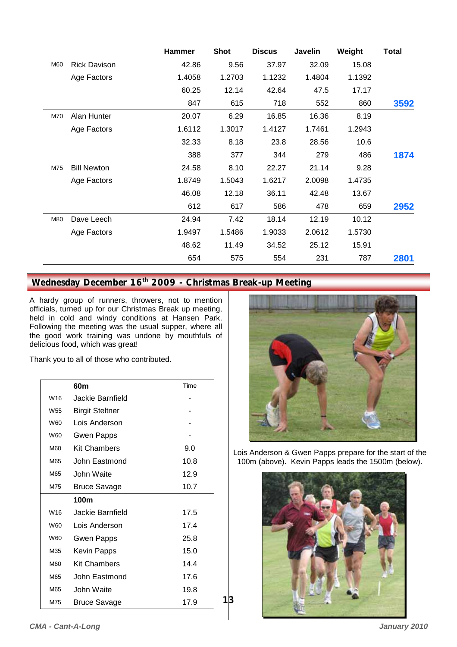|     |                     | <b>Hammer</b> | <b>Shot</b> | <b>Discus</b> | <b>Javelin</b> | Weight | <b>Total</b> |
|-----|---------------------|---------------|-------------|---------------|----------------|--------|--------------|
| M60 | <b>Rick Davison</b> | 42.86         | 9.56        | 37.97         | 32.09          | 15.08  |              |
|     | Age Factors         | 1.4058        | 1.2703      | 1.1232        | 1.4804         | 1.1392 |              |
|     |                     | 60.25         | 12.14       | 42.64         | 47.5           | 17.17  |              |
|     |                     | 847           | 615         | 718           | 552            | 860    | 3592         |
| M70 | Alan Hunter         | 20.07         | 6.29        | 16.85         | 16.36          | 8.19   |              |
|     | Age Factors         | 1.6112        | 1.3017      | 1.4127        | 1.7461         | 1.2943 |              |
|     |                     | 32.33         | 8.18        | 23.8          | 28.56          | 10.6   |              |
|     |                     | 388           | 377         | 344           | 279            | 486    | 1874         |
| M75 | <b>Bill Newton</b>  | 24.58         | 8.10        | 22.27         | 21.14          | 9.28   |              |
|     | Age Factors         | 1.8749        | 1.5043      | 1.6217        | 2.0098         | 1.4735 |              |
|     |                     | 46.08         | 12.18       | 36.11         | 42.48          | 13.67  |              |
|     |                     | 612           | 617         | 586           | 478            | 659    | 2952         |
| M80 | Dave Leech          | 24.94         | 7.42        | 18.14         | 12.19          | 10.12  |              |
|     | Age Factors         | 1.9497        | 1.5486      | 1.9033        | 2.0612         | 1.5730 |              |
|     |                     | 48.62         | 11.49       | 34.52         | 25.12          | 15.91  |              |
|     |                     | 654           | 575         | 554           | 231            | 787    | 2801         |

**13** 

# Wednesday December 16<sup>th</sup> 2009 - Christmas Break-up Meeting

A hardy group of runners, throwers, not to mention officials, turned up for our Christmas Break up meeting, held in cold and windy conditions at Hansen Park. Following the meeting was the usual supper, where all the good work training was undone by mouthfuls of delicious food, which was great!

Thank you to all of those who contributed.

|                 | 60m                    | Time |
|-----------------|------------------------|------|
| W <sub>16</sub> | Jackie Barnfield       |      |
| W <sub>55</sub> | <b>Birgit Steltner</b> |      |
| W60             | Lois Anderson          |      |
| W60             | Gwen Papps             |      |
| M60             | <b>Kit Chambers</b>    | 9.0  |
| M65             | John Eastmond          | 10.8 |
| M65             | John Waite             | 12.9 |
| M75             | <b>Bruce Savage</b>    | 10.7 |
|                 | 100m                   |      |
| W <sub>16</sub> | Jackie Barnfield       | 17.5 |
| W60             | Lois Anderson          | 17.4 |
| W60             | Gwen Papps             | 25.8 |
| M35             | <b>Kevin Papps</b>     | 15.0 |
| M60             | <b>Kit Chambers</b>    | 14.4 |
| M65             | John Eastmond          | 17.6 |
| M65             | John Waite             | 19.8 |
| M75             | Bruce Savage           | 17.9 |



Lois Anderson & Gwen Papps prepare for the start of the 100m (above). Kevin Papps leads the 1500m (below).

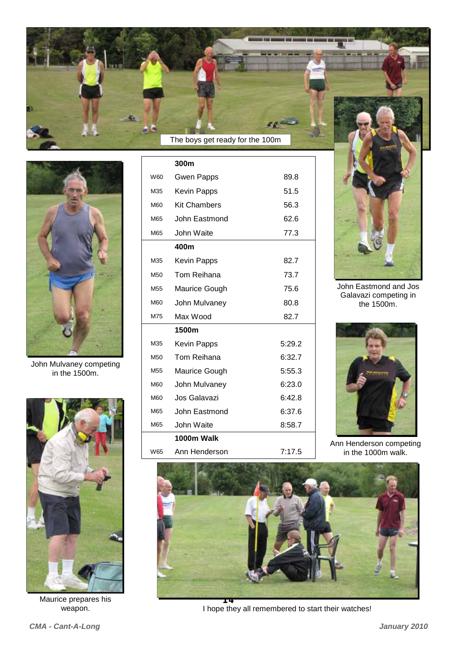

W60 Gwen Papps 89.8 M35 Kevin Papps 51.5 M60 Kit Chambers 56.3 M65 John Eastmond 62.6 M65 John Waite 77.3

**300m** 



John Mulvaney competing in the 1500m.



Maurice prepares his weapon.

**400m**  M35 Kevin Papps 82.7 M50 Tom Reihana 73.7 M55 Maurice Gough 75.6 M60 John Mulvaney 80.8 M75 Max Wood 82.7 **1500m**  M35 Kevin Papps 5:29.2 M50 Tom Reihana 6:32.7 M60 Jos Galavazi 6:42.8 M65 John Eastmond 6:37.6 M65 John Waite 8:58.7 M55 Maurice Gough 5:55.3 M60 John Mulvaney 6:23.0 **1000m Walk**  W65 Ann Henderson 7:17.5

John Eastmond and Jos Galavazi competing in the 1500m.



Ann Henderson competing in the 1000m walk.



I hope they all remembered to start their watches!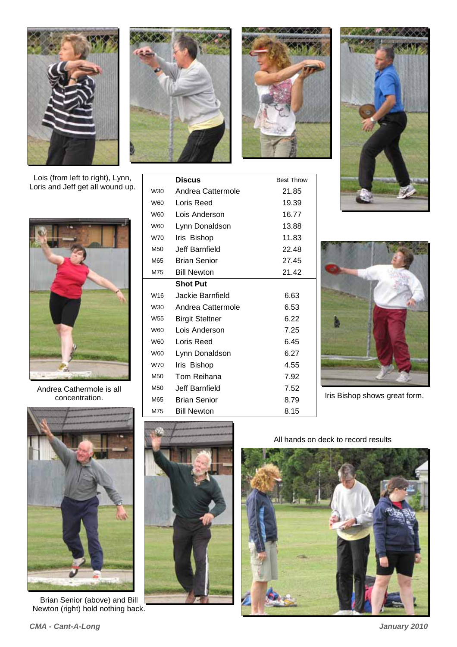

Lois (from left to right), Lynn, Loris and Jeff get all wound up.



Andrea Cathermole is all concentration.



Brian Senior (above) and Bill Newton (right) hold nothing back.





**Discus Best Throw** 

W30 Andrea Cattermole 21.85 W60 Loris Reed 19.39 W60 Lois Anderson 16.77 W60 Lynn Donaldson 13.88 W70 Iris Bishop 11.83 M50 Jeff Barnfield 22.48 M65 Brian Senior 27.45 M<sub>75</sub> Bill Newton 21.42

W<sub>16</sub> Jackie Barnfield 6.63 W30 Andrea Cattermole 6.53 W<sub>55</sub> Birgit Steltner 6.22 W60 Lois Anderson 7.25 W60 Loris Reed 6.45 W60 Lynn Donaldson 6.27 W70 Iris Bishop 4.55 M<sub>50</sub> Tom Reihana 7.92 M<sub>50</sub> Jeff Barnfield 7.52 M65 Brian Senior 8.79 M75 Bill Newton 8.15





Iris Bishop shows great form.



**Shot Put** 

All hands on deck to record results

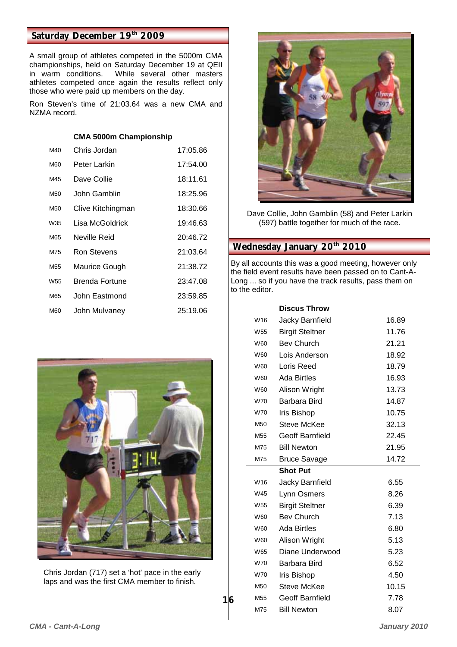### Saturday December 19th 2009

A small group of athletes competed in the 5000m CMA championships, held on Saturday December 19 at QEII While several other masters athletes competed once again the results reflect only those who were paid up members on the day.

Ron Steven's time of 21:03.64 was a new CMA and NZMA record.

#### **CMA 5000m Championship**

| M40             | Chris Jordan      | 17:05.86 |
|-----------------|-------------------|----------|
| M60             | Peter Larkin      | 17:54.00 |
| M45             | Dave Collie       | 18:11.61 |
| M50             | John Gamblin      | 18:25.96 |
| M50             | Clive Kitchingman | 18:30.66 |
| W35             | Lisa McGoldrick   | 19:46.63 |
| M65             | Neville Reid      | 20:46.72 |
| M75             | Ron Stevens       | 21:03.64 |
| M <sub>55</sub> | Maurice Gough     | 21:38.72 |
| W <sub>55</sub> | Brenda Fortune    | 23:47.08 |
| M65             | John Eastmond     | 23:59.85 |
| M60             | John Mulvaney     | 25:19.06 |
|                 |                   |          |



Chris Jordan (717) set a 'hot' pace in the early laps and was the first CMA member to finish.



Dave Collie, John Gamblin (58) and Peter Larkin (597) battle together for much of the race.

# **Wednesday January 20<sup>th</sup> 2010**

By all accounts this was a good meeting, however only the field event results have been passed on to Cant-A-Long ... so if you have the track results, pass them on to the editor.

|                 | <b>Discus Throw</b>    |       |
|-----------------|------------------------|-------|
| W16             | Jacky Barnfield        | 16.89 |
| W <sub>55</sub> | <b>Birgit Steltner</b> | 11.76 |
| W60             | <b>Bev Church</b>      | 21.21 |
| W60             | Lois Anderson          | 18.92 |
| W60             | Loris Reed             | 18.79 |
| W60             | Ada Birtles            | 16.93 |
| W60             | Alison Wright          | 13.73 |
| W70             | Barbara Bird           | 14.87 |
| <b>W70</b>      | <b>Iris Bishop</b>     | 10.75 |
| M50             | Steve McKee            | 32.13 |
| M <sub>55</sub> | Geoff Barnfield        | 22.45 |
| M75             | <b>Bill Newton</b>     | 21.95 |
| M75             | <b>Bruce Savage</b>    | 14.72 |
|                 | <b>Shot Put</b>        |       |
| W16             | Jacky Barnfield        | 6.55  |
| W45             | Lynn Osmers            | 8.26  |
| W55             | <b>Birgit Steltner</b> | 6.39  |
| W60             | <b>Bev Church</b>      | 7.13  |
| W60             | <b>Ada Birtles</b>     | 6.80  |
| W60             | Alison Wright          | 5.13  |
| W65             | Diane Underwood        | 5.23  |
| W70             | Barbara Bird           | 6.52  |
| W70             | <b>Iris Bishop</b>     | 4.50  |
| M50             |                        |       |
|                 | Steve McKee            | 10.15 |
| M55             | Geoff Barnfield        | 7.78  |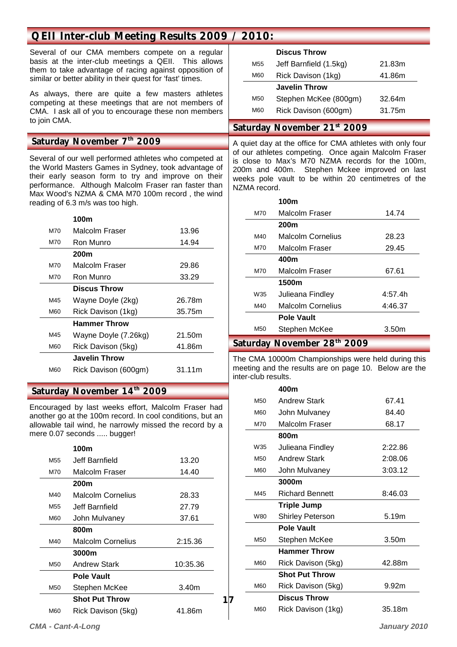# **QEII Inter-club Meeting Results 2009 / 2010:**

Several of our CMA members compete on a regular basis at the inter-club meetings a QEII. This allows them to take advantage of racing against opposition of similar or better ability in their quest for 'fast' times.

As always, there are quite a few masters athletes competing at these meetings that are not members of CMA. I ask all of you to encourage these non members to join CMA.

#### Saturday November 7<sup>th</sup> 2009

Several of our well performed athletes who competed at the World Masters Games in Sydney, took advantage of their early season form to try and improve on their performance. Although Malcolm Fraser ran faster than Max Wood's NZMA & CMA M70 100m record , the wind reading of 6.3 m/s was too high.

#### **100m**

|     | .                    |        |
|-----|----------------------|--------|
| M70 | Malcolm Fraser       | 13.96  |
| M70 | Ron Munro            | 14.94  |
|     | 200m                 |        |
| M70 | Malcolm Fraser       | 29.86  |
| M70 | Ron Munro            | 33.29  |
|     | <b>Discus Throw</b>  |        |
| M45 | Wayne Doyle (2kg)    | 26.78m |
| M60 | Rick Davison (1kg)   | 35.75m |
|     | <b>Hammer Throw</b>  |        |
| M45 | Wayne Doyle (7.26kg) | 21.50m |
| M60 | Rick Davison (5kg)   | 41.86m |
|     | <b>Javelin Throw</b> |        |
| M60 | Rick Davison (600gm) | 31.11m |
|     |                      |        |

# Saturday November 14<sup>th</sup> 2009

Encouraged by last weeks effort, Malcolm Fraser had another go at the 100m record. In cool conditions, but an allowable tail wind, he narrowly missed the record by a mere 0.07 seconds ..... bugger!

|                 | 100m                     |                   |
|-----------------|--------------------------|-------------------|
| M <sub>55</sub> | Jeff Barnfield           | 13.20             |
| M70             | Malcolm Fraser           | 14.40             |
|                 | 200m                     |                   |
| M40             | <b>Malcolm Cornelius</b> | 28.33             |
| M <sub>55</sub> | Jeff Barnfield           | 27.79             |
| M60             | John Mulvaney            | 37.61             |
|                 | 800m                     |                   |
| M40             | <b>Malcolm Cornelius</b> | 2:15.36           |
|                 | 3000m                    |                   |
| M50             | <b>Andrew Stark</b>      | 10:35.36          |
|                 | <b>Pole Vault</b>        |                   |
| M50             | Stephen McKee            | 3.40 <sub>m</sub> |
|                 | <b>Shot Put Throw</b>    |                   |
| M60             | Rick Davison (5kg)       | 41.86m            |

**17** 

#### **Discus Throw**

| M55             | Jeff Barnfield (1.5kg) | 21.83m |
|-----------------|------------------------|--------|
| M60             | Rick Davison (1kg)     | 41.86m |
|                 | <b>Javelin Throw</b>   |        |
| M <sub>50</sub> | Stephen McKee (800gm)  | 32.64m |
| M60             | Rick Davison (600gm)   | 31.75m |
|                 |                        |        |

### **Saturday November 21st 2009**

A quiet day at the office for CMA athletes with only four of our athletes competing. Once again Malcolm Fraser is close to Max's M70 NZMA records for the 100m, 200m and 400m. Stephen Mckee improved on last weeks pole vault to be within 20 centimetres of the NZMA record.

| Malcolm Fraser<br>14.74<br>M70<br>200 <sub>m</sub><br>Malcolm Cornelius<br>28.23<br>M40<br>Malcolm Fraser<br>29.45<br>M70<br>400m<br>Malcolm Fraser<br>67.61<br>M70<br>1500m<br>4:57.4h<br>W35<br>Julieana Findley<br>Malcolm Cornelius<br>4:46.37<br>M40 | 100m              |  |
|-----------------------------------------------------------------------------------------------------------------------------------------------------------------------------------------------------------------------------------------------------------|-------------------|--|
|                                                                                                                                                                                                                                                           |                   |  |
|                                                                                                                                                                                                                                                           |                   |  |
|                                                                                                                                                                                                                                                           |                   |  |
|                                                                                                                                                                                                                                                           |                   |  |
|                                                                                                                                                                                                                                                           |                   |  |
|                                                                                                                                                                                                                                                           |                   |  |
|                                                                                                                                                                                                                                                           |                   |  |
|                                                                                                                                                                                                                                                           |                   |  |
|                                                                                                                                                                                                                                                           |                   |  |
|                                                                                                                                                                                                                                                           | <b>Pole Vault</b> |  |
| Stephen McKee<br>M50<br>3.50 <sub>m</sub>                                                                                                                                                                                                                 |                   |  |

### Saturday November 28<sup>th</sup> 2009

The CMA 10000m Championships were held during this meeting and the results are on page 10. Below are the inter-club results.

|                 | 400m                   |                   |
|-----------------|------------------------|-------------------|
| M <sub>50</sub> | <b>Andrew Stark</b>    | 67.41             |
| M60             | John Mulvaney          | 84.40             |
| M70             | Malcolm Fraser         | 68.17             |
|                 | 800m                   |                   |
| W35             | Julieana Findley       | 2:22.86           |
| M <sub>50</sub> | <b>Andrew Stark</b>    | 2:08.06           |
| M60             | John Mulvaney          | 3:03.12           |
|                 | 3000m                  |                   |
| M45             | <b>Richard Bennett</b> | 8:46.03           |
|                 |                        |                   |
|                 | <b>Triple Jump</b>     |                   |
| W80             | Shirley Peterson       | 5.19m             |
|                 | <b>Pole Vault</b>      |                   |
| M <sub>50</sub> | Stephen McKee          | 3.50m             |
|                 | <b>Hammer Throw</b>    |                   |
| M60             | Rick Davison (5kg)     | 42.88m            |
|                 | <b>Shot Put Throw</b>  |                   |
| M60             | Rick Davison (5kg)     | 9.92 <sub>m</sub> |
|                 | <b>Discus Throw</b>    |                   |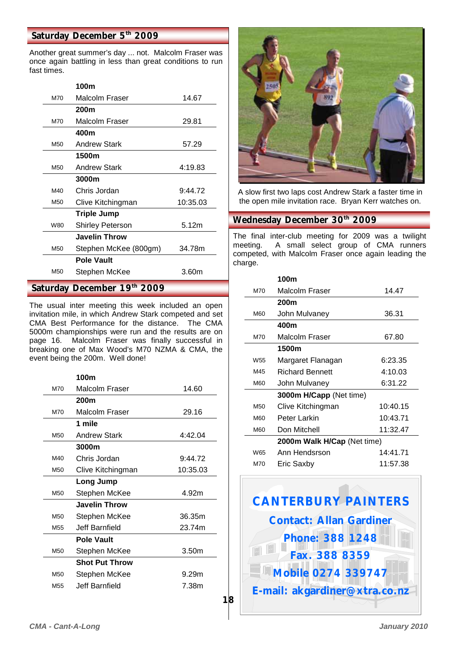### Saturday December 5<sup>th</sup> 2009

Another great summer's day ... not. Malcolm Fraser was once again battling in less than great conditions to run fast times.

|                 | 100m                        |          |
|-----------------|-----------------------------|----------|
| M70             | Malcolm Fraser              | 14.67    |
|                 | 200m                        |          |
| M70             | Malcolm Fraser              | 29.81    |
|                 | 400m                        |          |
| M <sub>50</sub> | <b>Andrew Stark</b>         | 57.29    |
|                 | 1500m                       |          |
| M <sub>50</sub> | <b>Andrew Stark</b>         | 4:19.83  |
|                 | 3000m                       |          |
| M40             | Chris Jordan                | 9:44.72  |
| M <sub>50</sub> | Clive Kitchingman           | 10:35.03 |
|                 | <b>Triple Jump</b>          |          |
| W80             | <b>Shirley Peterson</b>     | 5.12m    |
|                 | <b>Javelin Throw</b>        |          |
| M50             | Stephen McKee (800gm)       | 34.78m   |
|                 | <b>Pole Vault</b>           |          |
| M <sub>50</sub> | Stephen McKee               | 3.60m    |
|                 | Saturday December 19th 2009 |          |

The usual inter meeting this week included an open invitation mile, in which Andrew Stark competed and set CMA Best Performance for the distance. The CMA 5000m championships were run and the results are on page 16. Malcolm Fraser was finally successful in breaking one of Max Wood's M70 NZMA & CMA, the event being the 200m. Well done!

|                 | 100m                  |                   |
|-----------------|-----------------------|-------------------|
| M70             | Malcolm Fraser        | 14.60             |
|                 | 200m                  |                   |
| M70             | Malcolm Fraser        | 29.16             |
|                 | 1 mile                |                   |
| M <sub>50</sub> | <b>Andrew Stark</b>   | 4:42.04           |
|                 | 3000m                 |                   |
| M40             | Chris Jordan          | 9:44.72           |
| M <sub>50</sub> | Clive Kitchingman     | 10:35.03          |
|                 | Long Jump             |                   |
| M <sub>50</sub> | Stephen McKee         | 4.92m             |
|                 | <b>Javelin Throw</b>  |                   |
| M <sub>50</sub> | Stephen McKee         | 36.35m            |
| M <sub>55</sub> | Jeff Barnfield        | 23.74m            |
|                 | <b>Pole Vault</b>     |                   |
| M <sub>50</sub> | Stephen McKee         | 3.50 <sub>m</sub> |
|                 | <b>Shot Put Throw</b> |                   |
| M <sub>50</sub> | Stephen McKee         | 9.29m             |
| M <sub>55</sub> | Jeff Barnfield.       | 7.38m             |
|                 |                       |                   |



A slow first two laps cost Andrew Stark a faster time in the open mile invitation race. Bryan Kerr watches on.

#### Wednesday December 30<sup>th</sup> 2009

The final inter-club meeting for 2009 was a twilight meeting. A small select group of CMA runners competed, with Malcolm Fraser once again leading the charge.

|                 | 100m                        |          |  |
|-----------------|-----------------------------|----------|--|
| M70             | Malcolm Fraser              | 14.47    |  |
|                 | 200m                        |          |  |
| M60             | John Mulvaney               | 36.31    |  |
|                 | 400m                        |          |  |
| M70             | Malcolm Fraser              | 67.80    |  |
|                 | 1500m                       |          |  |
| W <sub>55</sub> | Margaret Flanagan           | 6:23.35  |  |
| M45             | <b>Richard Bennett</b>      | 4:10.03  |  |
| M60             | John Mulvaney               | 6:31.22  |  |
|                 | 3000m H/Capp (Net time)     |          |  |
| M <sub>50</sub> | Clive Kitchingman           | 10:40.15 |  |
| M60             | Peter Larkin                | 10:43.71 |  |
| M60             | Don Mitchell                | 11:32.47 |  |
|                 | 2000m Walk H/Cap (Net time) |          |  |
| W <sub>65</sub> | Ann Hendsrson               | 14:41.71 |  |
| M70             | Eric Saxby                  | 11:57.38 |  |

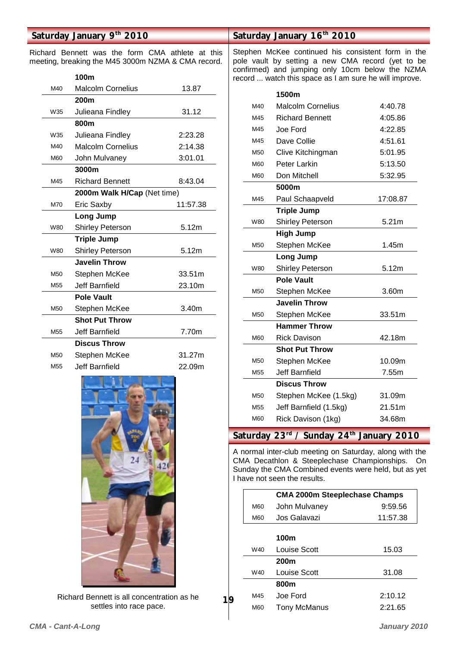## **Saturday January 9th 2010**

Richard Bennett was the form CMA athlete at this meeting, breaking the M45 3000m NZMA & CMA record.

|                 | 100m                        |          |
|-----------------|-----------------------------|----------|
| M40             | <b>Malcolm Cornelius</b>    | 13.87    |
|                 | 200m                        |          |
| W35             | Julieana Findley            | 31.12    |
|                 | 800m                        |          |
| W35             | Julieana Findley            | 2:23.28  |
| M40             | <b>Malcolm Cornelius</b>    | 2:14.38  |
| M60             | John Mulvaney               | 3:01.01  |
|                 | 3000m                       |          |
| M45             | <b>Richard Bennett</b>      | 8:43.04  |
|                 | 2000m Walk H/Cap (Net time) |          |
| M70             | Eric Saxby                  | 11:57.38 |
|                 | Long Jump                   |          |
| W80             | <b>Shirley Peterson</b>     | 5.12m    |
|                 | <b>Triple Jump</b>          |          |
| W80             | <b>Shirley Peterson</b>     | 5.12m    |
|                 | <b>Javelin Throw</b>        |          |
| M <sub>50</sub> | Stephen McKee               | 33.51m   |
| M <sub>55</sub> | <b>Jeff Barnfield</b>       | 23.10m   |
|                 | <b>Pole Vault</b>           |          |
| M <sub>50</sub> | Stephen McKee               | 3.40m    |
|                 | <b>Shot Put Throw</b>       |          |
| M <sub>55</sub> | Jeff Barnfield              | 7.70m    |
|                 | <b>Discus Throw</b>         |          |
| M50             | Stephen McKee               | 31.27m   |
| M <sub>55</sub> | Jeff Barnfield              | 22.09m   |



Richard Bennett is all concentration as he settles into race pace.

**19** 

### **Saturday January 16th 2010**

Stephen McKee continued his consistent form in the pole vault by setting a new CMA record (yet to be confirmed) and jumping only 10cm below the NZMA record ... watch this space as I am sure he will improve.

|                 | 1500m                    |          |
|-----------------|--------------------------|----------|
| M40             | <b>Malcolm Cornelius</b> | 4:40.78  |
| M45             | <b>Richard Bennett</b>   | 4:05.86  |
| M45             | Joe Ford                 | 4:22.85  |
| M45             | Dave Collie              | 4:51.61  |
| M50             | Clive Kitchingman        | 5:01.95  |
| M60             | Peter Larkin             | 5:13.50  |
| M60             | Don Mitchell             | 5:32.95  |
|                 | 5000m                    |          |
| M45             | Paul Schaapveld          | 17:08.87 |
|                 | <b>Triple Jump</b>       |          |
| W80             | <b>Shirley Peterson</b>  | 5.21m    |
|                 | <b>High Jump</b>         |          |
| M50             | Stephen McKee            | 1.45m    |
|                 | Long Jump                |          |
| W80             | <b>Shirley Peterson</b>  | 5.12m    |
|                 | <b>Pole Vault</b>        |          |
| M50             | Stephen McKee            | 3.60m    |
|                 | <b>Javelin Throw</b>     |          |
| M50             | Stephen McKee            | 33.51m   |
|                 | <b>Hammer Throw</b>      |          |
| M60             | <b>Rick Davison</b>      | 42.18m   |
|                 | <b>Shot Put Throw</b>    |          |
| M50             | Stephen McKee            | 10.09m   |
| M <sub>55</sub> | Jeff Barnfield           | 7.55m    |
|                 | <b>Discus Throw</b>      |          |
| M <sub>50</sub> | Stephen McKee (1.5kg)    | 31.09m   |
| M55             | Jeff Barnfield (1.5kg)   | 21.51m   |
| M60             | Rick Davison (1kg)       | 34.68m   |

Saturday 23<sup>rd</sup> / Sunday 24<sup>th</sup> January 2010

A normal inter-club meeting on Saturday, along with the CMA Decathlon & Steeplechase Championships. On Sunday the CMA Combined events were held, but as yet I have not seen the results.

|     | <b>CMA 2000m Steeplechase Champs</b> |          |  |  |  |
|-----|--------------------------------------|----------|--|--|--|
| M60 | John Mulvaney                        | 9:59.56  |  |  |  |
| M60 | Jos Galavazi                         | 11:57.38 |  |  |  |
|     |                                      |          |  |  |  |

|     | 100m                |         |
|-----|---------------------|---------|
| W40 | Louise Scott        | 15.03   |
|     | <b>200m</b>         |         |
| W40 | Louise Scott        | 31.08   |
|     | 800m                |         |
| M45 | Joe Ford            | 2:10.12 |
| M60 | <b>Tony McManus</b> | 2:21.65 |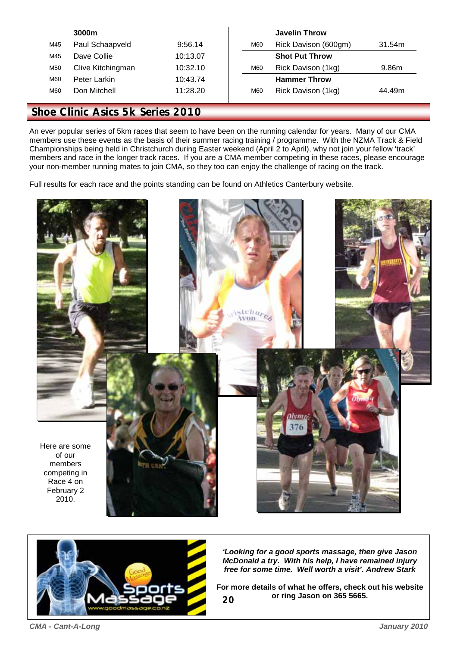|                 | 3000m             |          |     | <b>Javelin Throw</b>  |        |
|-----------------|-------------------|----------|-----|-----------------------|--------|
| M45             | Paul Schaapveld   | 9:56.14  | M60 | Rick Davison (600gm)  | 31.54m |
| M45             | Dave Collie       | 10:13.07 |     | <b>Shot Put Throw</b> |        |
| M <sub>50</sub> | Clive Kitchingman | 10:32.10 | M60 | Rick Davison (1kg)    | 9.86m  |
| M60             | Peter Larkin      | 10:43.74 |     | <b>Hammer Throw</b>   |        |
| M60             | Don Mitchell      | 11:28.20 | M60 | Rick Davison (1kg)    | 44.49m |
|                 |                   |          |     |                       |        |

### **Shoe Clinic Asics 5k Series 2010**

An ever popular series of 5km races that seem to have been on the running calendar for years. Many of our CMA members use these events as the basis of their summer racing training / programme. With the NZMA Track & Field Championships being held in Christchurch during Easter weekend (April 2 to April), why not join your fellow 'track' members and race in the longer track races. If you are a CMA member competing in these races, please encourage your non-member running mates to join CMA, so they too can enjoy the challenge of racing on the track.

Full results for each race and the points standing can be found on Athletics Canterbury website.





*'Looking for a good sports massage, then give Jason McDonald a try. With his help, I have remained injury free for some time. Well worth a visit'. Andrew Stark* 

**20 For more details of what he offers, check out his website or ring Jason on 365 5665.**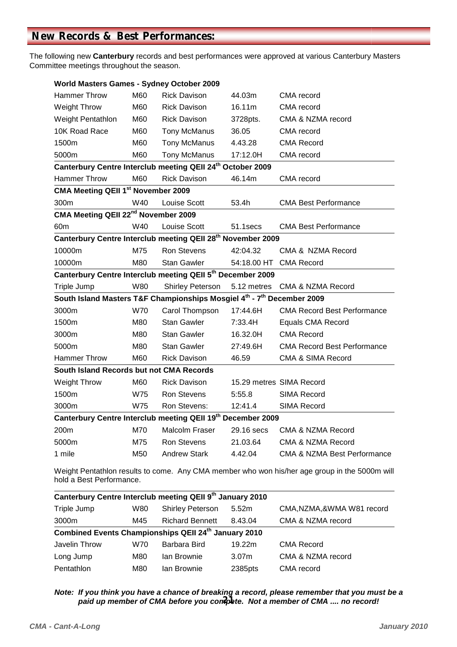The following new **Canterbury** records and best performances were approved at various Canterbury Masters Committee meetings throughout the season.

| <b>World Masters Games - Sydney October 2009</b>                        |            |                     |                                                                                                                           |                                        |  |  |  |  |
|-------------------------------------------------------------------------|------------|---------------------|---------------------------------------------------------------------------------------------------------------------------|----------------------------------------|--|--|--|--|
| <b>Hammer Throw</b>                                                     | M60        | <b>Rick Davison</b> | 44.03m                                                                                                                    | CMA record                             |  |  |  |  |
| <b>Weight Throw</b>                                                     | M60        | <b>Rick Davison</b> | 16.11m                                                                                                                    | CMA record                             |  |  |  |  |
| Weight Pentathlon                                                       | M60        | <b>Rick Davison</b> | 3728pts.                                                                                                                  | CMA & NZMA record                      |  |  |  |  |
| 10K Road Race                                                           | M60        | Tony McManus        | 36.05                                                                                                                     | CMA record                             |  |  |  |  |
| 1500m                                                                   | M60        | Tony McManus        | 4.43.28                                                                                                                   | <b>CMA Record</b>                      |  |  |  |  |
| 5000m                                                                   | M60        | Tony McManus        | 17:12.0H                                                                                                                  | CMA record                             |  |  |  |  |
| Canterbury Centre Interclub meeting QEII 24th October 2009              |            |                     |                                                                                                                           |                                        |  |  |  |  |
| <b>Hammer Throw</b>                                                     | M60        | <b>Rick Davison</b> | 46.14m                                                                                                                    | CMA record                             |  |  |  |  |
| CMA Meeting QEII 1st November 2009                                      |            |                     |                                                                                                                           |                                        |  |  |  |  |
| 300m                                                                    | W40        | Louise Scott        | 53.4h                                                                                                                     | <b>CMA Best Performance</b>            |  |  |  |  |
| CMA Meeting QEII 22 <sup>nd</sup> November 2009                         |            |                     |                                                                                                                           |                                        |  |  |  |  |
| 60 <sub>m</sub>                                                         | W40        | Louise Scott        | 51.1secs                                                                                                                  | <b>CMA Best Performance</b>            |  |  |  |  |
| Canterbury Centre Interclub meeting QEII 28 <sup>th</sup> November 2009 |            |                     |                                                                                                                           |                                        |  |  |  |  |
| 10000m                                                                  | M75        | Ron Stevens         | 42:04.32                                                                                                                  | CMA & NZMA Record                      |  |  |  |  |
| 10000m                                                                  | M80        | <b>Stan Gawler</b>  | 54:18.00 HT                                                                                                               | <b>CMA Record</b>                      |  |  |  |  |
| Canterbury Centre Interclub meeting QEII 5th December 2009              |            |                     |                                                                                                                           |                                        |  |  |  |  |
| Triple Jump                                                             | W80        | Shirley Peterson    | 5.12 metres                                                                                                               | <b>CMA &amp; NZMA Record</b>           |  |  |  |  |
| South Island Masters T&F Championships Mosgiel 4th - 7th December 2009  |            |                     |                                                                                                                           |                                        |  |  |  |  |
| 3000m                                                                   | <b>W70</b> | Carol Thompson      | 17:44.6H                                                                                                                  | <b>CMA Record Best Performance</b>     |  |  |  |  |
| 1500m                                                                   | M80        | <b>Stan Gawler</b>  | 7:33.4H                                                                                                                   | <b>Equals CMA Record</b>               |  |  |  |  |
| 3000m                                                                   | M80        | <b>Stan Gawler</b>  | 16.32.0H                                                                                                                  | <b>CMA Record</b>                      |  |  |  |  |
| 5000m                                                                   | M80        | <b>Stan Gawler</b>  | 27:49.6H                                                                                                                  | <b>CMA Record Best Performance</b>     |  |  |  |  |
| <b>Hammer Throw</b>                                                     | M60        | <b>Rick Davison</b> | 46.59                                                                                                                     | <b>CMA &amp; SIMA Record</b>           |  |  |  |  |
| South Island Records but not CMA Records                                |            |                     |                                                                                                                           |                                        |  |  |  |  |
| <b>Weight Throw</b>                                                     | M60        | <b>Rick Davison</b> |                                                                                                                           | 15.29 metres SIMA Record               |  |  |  |  |
| 1500m                                                                   | W75        | <b>Ron Stevens</b>  | 5:55.8                                                                                                                    | SIMA Record                            |  |  |  |  |
| 3000m                                                                   | W75        | Ron Stevens:        | 12:41.4                                                                                                                   | <b>SIMA Record</b>                     |  |  |  |  |
| Canterbury Centre Interclub meeting QEII 19th December 2009             |            |                     |                                                                                                                           |                                        |  |  |  |  |
| 200m                                                                    | M70        | Malcolm Fraser      | 29.16 secs                                                                                                                | CMA & NZMA Record                      |  |  |  |  |
| 5000m                                                                   | M75        | <b>Ron Stevens</b>  | 21.03.64                                                                                                                  | <b>CMA &amp; NZMA Record</b>           |  |  |  |  |
| 1 mile                                                                  | M50        | <b>Andrew Stark</b> | 4.42.04                                                                                                                   | <b>CMA &amp; NZMA Best Performance</b> |  |  |  |  |
|                                                                         |            |                     | Weight Pentathlon results to come. Any CMA member who won his/her age group in the 5000m will<br>hold a Best Performance. |                                        |  |  |  |  |

| Canterbury Centre Interclub meeting QEII 9th January 2010 |                                                      |                         |                   |                             |  |  |  |
|-----------------------------------------------------------|------------------------------------------------------|-------------------------|-------------------|-----------------------------|--|--|--|
| Triple Jump                                               | W80                                                  | <b>Shirley Peterson</b> | 5.52m             | CMA, NZMA, & WMA W81 record |  |  |  |
| 3000m                                                     | M45                                                  | <b>Richard Bennett</b>  | 8.43.04           | CMA & NZMA record           |  |  |  |
|                                                           | Combined Events Championships QEII 24th January 2010 |                         |                   |                             |  |  |  |
| Javelin Throw                                             | W70                                                  | Barbara Bird            | 19.22m            | <b>CMA Record</b>           |  |  |  |
| Long Jump                                                 | M80                                                  | lan Brownie             | 3.07 <sub>m</sub> | CMA & NZMA record           |  |  |  |
| Pentathlon                                                | M80                                                  | lan Brownie             | 2385pts           | CMA record                  |  |  |  |

**21**  *Note: If you think you have a chance of breaking a record, please remember that you must be a paid up member of CMA before you compete. Not a member of CMA .... no record!*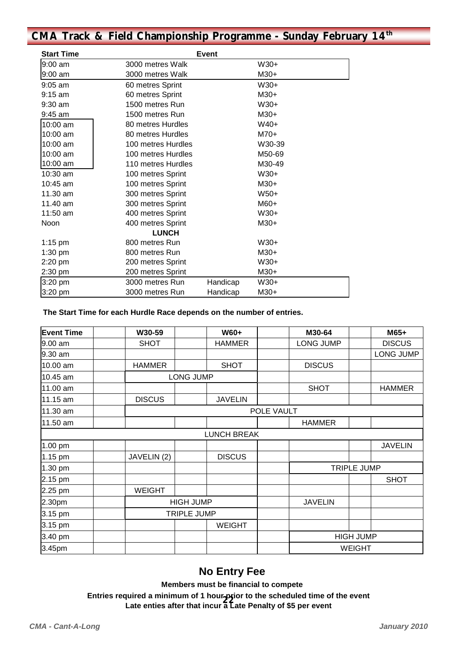# **CMA Track & Field Championship Programme - Sunday February 14th**

| <b>Start Time</b> | <b>Event</b>       |          |        |  |
|-------------------|--------------------|----------|--------|--|
| 9:00 am           | 3000 metres Walk   |          | $W30+$ |  |
| 9:00 am           | 3000 metres Walk   |          | M30+   |  |
| $9:05$ am         | 60 metres Sprint   |          | $W30+$ |  |
| $9:15$ am         | 60 metres Sprint   |          | $M30+$ |  |
| 9:30 am           | 1500 metres Run    |          | $W30+$ |  |
| $9:45$ am         | 1500 metres Run    |          | $M30+$ |  |
| 10:00 am          | 80 metres Hurdles  |          | $W40+$ |  |
| 10:00 am          | 80 metres Hurdles  |          | $M70+$ |  |
| 10:00 am          | 100 metres Hurdles |          | W30-39 |  |
| 10:00 am          | 100 metres Hurdles |          | M50-69 |  |
| 10:00 am          | 110 metres Hurdles |          | M30-49 |  |
| 10:30 am          | 100 metres Sprint  |          | W30+   |  |
| $10:45$ am        | 100 metres Sprint  |          | $M30+$ |  |
| 11.30 am          | 300 metres Sprint  |          | $W50+$ |  |
| 11.40 am          | 300 metres Sprint  |          | M60+   |  |
| 11:50 am          | 400 metres Sprint  |          | W30+   |  |
| Noon              | 400 metres Sprint  |          | $M30+$ |  |
|                   | <b>LUNCH</b>       |          |        |  |
| $1:15$ pm         | 800 metres Run     |          | $W30+$ |  |
| $1:30$ pm         | 800 metres Run     |          | $M30+$ |  |
| 2:20 pm           | 200 metres Sprint  |          | $W30+$ |  |
| 2:30 pm           | 200 metres Sprint  |          | $M30+$ |  |
| 3:20 pm           | 3000 metres Run    | Handicap | W30+   |  |
| $3:20$ pm         | 3000 metres Run    | Handicap | $M30+$ |  |

#### **The Start Time for each Hurdle Race depends on the number of entries.**

| <b>Event Time</b> | W30-59        | W60+               | M30-64             |                  | M65+           |  |
|-------------------|---------------|--------------------|--------------------|------------------|----------------|--|
| 9.00 am           | <b>SHOT</b>   | <b>HAMMER</b>      | <b>LONG JUMP</b>   |                  | <b>DISCUS</b>  |  |
| 9.30 am           |               |                    |                    |                  | LONG JUMP      |  |
| 10.00 am          | <b>HAMMER</b> | <b>SHOT</b>        |                    | <b>DISCUS</b>    |                |  |
| 10.45 am          |               | <b>LONG JUMP</b>   |                    |                  |                |  |
| 11.00 am          |               |                    | <b>SHOT</b>        |                  | <b>HAMMER</b>  |  |
| 11.15 am          | <b>DISCUS</b> | <b>JAVELIN</b>     |                    |                  |                |  |
| 11.30 am          |               | POLE VAULT         |                    |                  |                |  |
| 11.50 am          |               |                    | <b>HAMMER</b>      |                  |                |  |
|                   |               | <b>LUNCH BREAK</b> |                    |                  |                |  |
| 1.00 pm           |               |                    |                    |                  | <b>JAVELIN</b> |  |
| 1.15 pm           | JAVELIN (2)   | <b>DISCUS</b>      |                    |                  |                |  |
| 1.30 pm           |               |                    | <b>TRIPLE JUMP</b> |                  |                |  |
| 2.15 pm           |               |                    |                    |                  | <b>SHOT</b>    |  |
| 2.25 pm           | <b>WEIGHT</b> |                    |                    |                  |                |  |
| 2.30pm            |               | <b>HIGH JUMP</b>   |                    | <b>JAVELIN</b>   |                |  |
| 3.15 pm           |               | <b>TRIPLE JUMP</b> |                    |                  |                |  |
| 3.15 pm           |               | <b>WEIGHT</b>      |                    |                  |                |  |
| 3.40 pm           |               |                    |                    | <b>HIGH JUMP</b> |                |  |
| 3.45pm            |               |                    |                    | <b>WEIGHT</b>    |                |  |

# **No Entry Fee**

 **Members must be financial to compete** 

**22 Late enties after that incur a Late Penalty of \$5 per event**  Entries required a minimum of 1 hour-psior to the scheduled time of the event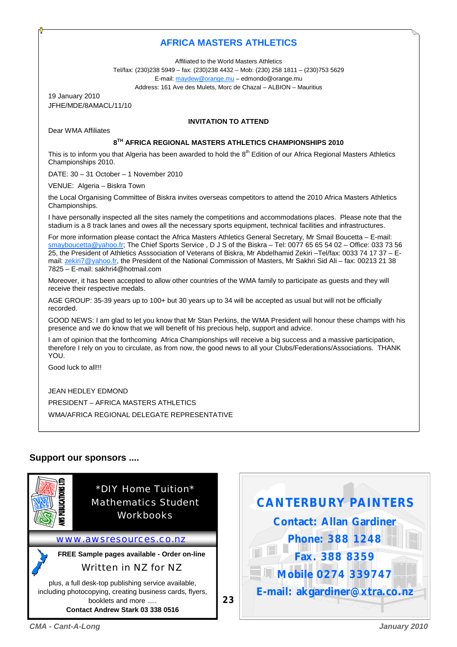### **AFRICA MASTERS ATHLETICS**

Affiliated to the World Masters Athletics

Tel/fax: (230)238 5949 – fax: (230)238 4432 – Mob: (230) 258 1811 – (230)753 5629

E-mail: maydew@orange.mu – edmondo@orange.mu

Address: 161 Ave des Mulets, Morc de Chazal – ALBION – Mauritius

19 January 2010 JFHE/MDE/8AMACL/11/10

Dear WMA Affiliates

#### **INVITATION TO ATTEND**

#### **8TH AFRICA REGIONAL MASTERS ATHLETICS CHAMPIONSHIPS 2010**

This is to inform you that Algeria has been awarded to hold the 8<sup>th</sup> Edition of our Africa Regional Masters Athletics Championships 2010.

DATE: 30 – 31 October – 1 November 2010

VENUE: Algeria – Biskra Town

the Local Organising Committee of Biskra invites overseas competitors to attend the 2010 Africa Masters Athletics Championships.

I have personally inspected all the sites namely the competitions and accommodations places. Please note that the stadium is a 8 track lanes and owes all the necessary sports equipment, technical facilities and infrastructures.

For more information please contact the Africa Masters Athletics General Secretary, Mr Smail Boucetta – E-mail: smayboucetta@yahoo.fr; The Chief Sports Service, D J S of the Biskra – Tel: 0077 65 65 54 02 – Office: 033 73 56 25, the President of Athletics Asssociation of Veterans of Biskra, Mr Abdelhamid Zekiri –Tel/fax: 0033 74 17 37 – Email: zekiri7@yahoo.fr, the President of the National Commission of Masters, Mr Sakhri Sid Ali – fax: 00213 21 38 7825 – E-mail: sakhri4@hotmail.com

Moreover, it has been accepted to allow other countries of the WMA family to participate as guests and they will receive their respective medals.

AGE GROUP: 35-39 years up to 100+ but 30 years up to 34 will be accepted as usual but will not be officially recorded.

GOOD NEWS: I am glad to let you know that Mr Stan Perkins, the WMA President will honour these champs with his presence and we do know that we will benefit of his precious help, support and advice.

I am of opinion that the forthcoming Africa Championships will receive a big success and a massive participation, therefore I rely on you to circulate, as from now, the good news to all your Clubs/Federations/Associations. THANK YOU.

Good luck to all!!!

JEAN HEDLEY EDMOND

PRESIDENT – AFRICA MASTERS ATHLETICS WMA/AFRICA REGIONAL DELEGATE REPRESENTATIVE

### **Support our sponsors ....**